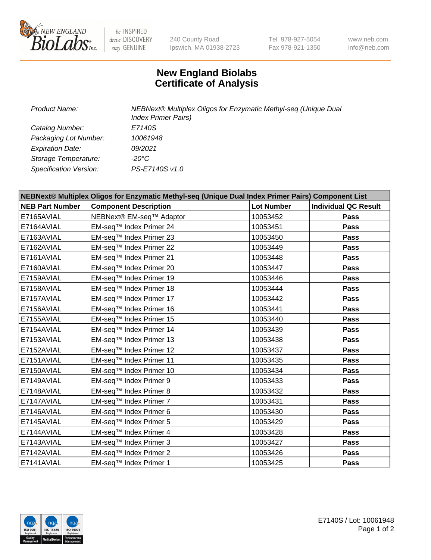

 $be$  INSPIRED drive DISCOVERY stay GENUINE

240 County Road Ipswich, MA 01938-2723 Tel 978-927-5054 Fax 978-921-1350 www.neb.com info@neb.com

## **New England Biolabs Certificate of Analysis**

| <b>Product Name:</b>    | NEBNext® Multiplex Oligos for Enzymatic Methyl-seq (Unique Dual<br><b>Index Primer Pairs)</b> |
|-------------------------|-----------------------------------------------------------------------------------------------|
| Catalog Number:         | E7140S                                                                                        |
| Packaging Lot Number:   | 10061948                                                                                      |
| <b>Expiration Date:</b> | 09/2021                                                                                       |
| Storage Temperature:    | -20°C                                                                                         |
| Specification Version:  | PS-E7140S v1.0                                                                                |

| NEBNext® Multiplex Oligos for Enzymatic Methyl-seq (Unique Dual Index Primer Pairs) Component List |                              |                   |                             |  |
|----------------------------------------------------------------------------------------------------|------------------------------|-------------------|-----------------------------|--|
| <b>NEB Part Number</b>                                                                             | <b>Component Description</b> | <b>Lot Number</b> | <b>Individual QC Result</b> |  |
| E7165AVIAL                                                                                         | NEBNext® EM-seq™ Adaptor     | 10053452          | <b>Pass</b>                 |  |
| E7164AVIAL                                                                                         | EM-seq™ Index Primer 24      | 10053451          | Pass                        |  |
| E7163AVIAL                                                                                         | EM-seq™ Index Primer 23      | 10053450          | <b>Pass</b>                 |  |
| E7162AVIAL                                                                                         | EM-seq™ Index Primer 22      | 10053449          | Pass                        |  |
| E7161AVIAL                                                                                         | EM-seq™ Index Primer 21      | 10053448          | <b>Pass</b>                 |  |
| E7160AVIAL                                                                                         | EM-seq™ Index Primer 20      | 10053447          | Pass                        |  |
| E7159AVIAL                                                                                         | EM-seq™ Index Primer 19      | 10053446          | Pass                        |  |
| E7158AVIAL                                                                                         | EM-seq™ Index Primer 18      | 10053444          | <b>Pass</b>                 |  |
| E7157AVIAL                                                                                         | EM-seq™ Index Primer 17      | 10053442          | Pass                        |  |
| E7156AVIAL                                                                                         | EM-seq™ Index Primer 16      | 10053441          | Pass                        |  |
| E7155AVIAL                                                                                         | EM-seq™ Index Primer 15      | 10053440          | Pass                        |  |
| E7154AVIAL                                                                                         | EM-seq™ Index Primer 14      | 10053439          | Pass                        |  |
| E7153AVIAL                                                                                         | EM-seq™ Index Primer 13      | 10053438          | Pass                        |  |
| E7152AVIAL                                                                                         | EM-seq™ Index Primer 12      | 10053437          | Pass                        |  |
| E7151AVIAL                                                                                         | EM-seq™ Index Primer 11      | 10053435          | <b>Pass</b>                 |  |
| E7150AVIAL                                                                                         | EM-seq™ Index Primer 10      | 10053434          | Pass                        |  |
| E7149AVIAL                                                                                         | EM-seq™ Index Primer 9       | 10053433          | Pass                        |  |
| E7148AVIAL                                                                                         | EM-seq™ Index Primer 8       | 10053432          | Pass                        |  |
| E7147AVIAL                                                                                         | EM-seq™ Index Primer 7       | 10053431          | <b>Pass</b>                 |  |
| E7146AVIAL                                                                                         | EM-seq™ Index Primer 6       | 10053430          | <b>Pass</b>                 |  |
| E7145AVIAL                                                                                         | EM-seq™ Index Primer 5       | 10053429          | Pass                        |  |
| E7144AVIAL                                                                                         | EM-seq™ Index Primer 4       | 10053428          | Pass                        |  |
| E7143AVIAL                                                                                         | EM-seq™ Index Primer 3       | 10053427          | <b>Pass</b>                 |  |
| E7142AVIAL                                                                                         | EM-seq™ Index Primer 2       | 10053426          | <b>Pass</b>                 |  |
| E7141AVIAL                                                                                         | EM-seq™ Index Primer 1       | 10053425          | <b>Pass</b>                 |  |